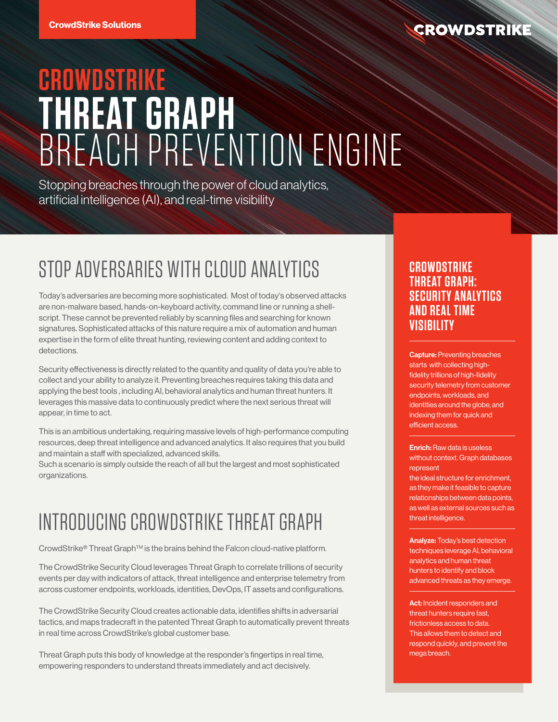### **CROWDSTRIKE**

# **CROWDSTRIKE THREAT GRAPH** BREACH PREVENTION ENGINE

Stopping breaches through the power of cloud analytics, artificial intelligence (AI), and real-time visibility

## STOP ADVERSARIES WITH CLOUD ANALYTICS

Today's adversaries are becoming more sophisticated. Most of today's observed attacks are non-malware based, hands-on-keyboard activity, command line or running a shellscript. These cannot be prevented reliably by scanning files and searching for known signatures. Sophisticated attacks of this nature require a mix of automation and human expertise in the form of elite threat hunting, reviewing content and adding context to detections.

Security effectiveness is directly related to the quantity and quality of data you're able to collect and your ability to analyze it. Preventing breaches requires taking this data and applying the best tools , including AI, behavioral analytics and human threat hunters. It leverages this massive data to continuously predict where the next serious threat will appear, in time to act.

This is an ambitious undertaking, requiring massive levels of high-performance computing resources, deep threat intelligence and advanced analytics. It also requires that you build and maintain a staff with specialized, advanced skills.

Such a scenario is simply outside the reach of all but the largest and most sophisticated organizations.

## INTRODUCING CROWDSTRIKE THREAT GRAPH

CrowdStrike® Threat GraphTM is the brains behind the Falcon cloud-native platform.

The CrowdStrike Security Cloud leverages Threat Graph to correlate trillions of security events per day with indicators of attack, threat intelligence and enterprise telemetry from across customer endpoints, workloads, identities, DevOps, IT assets and configurations.

The CrowdStrike Security Cloud creates actionable data, identifies shifts in adversarial tactics, and maps tradecraft in the patented Threat Graph to automatically prevent threats in real time across CrowdStrike's global customer base.

Threat Graph puts this body of knowledge at the responder's fingertips in real time, empowering responders to understand threats immediately and act decisively.

#### **CROWDSTRIKE THREAT GRAPH: SECURITY ANALYTICS AND REAL TIME VISIBILITY**

Capture: Preventing breaches starts with collecting highfidelity trillions of high-fidelity security telemetry from customer endpoints, workloads, and identities around the globe, and indexing them for quick and efficient access.

#### Enrich: Raw data is useless without context. Graph databases represent

the ideal structure for enrichment, as they make it feasible to capture relationships between data points, as well as external sources such as threat intelligence.

Analyze: Today's best detection techniques leverage AI, behavioral analytics and human threat hunters to identify and block advanced threats as they emerge.

Act: Incident responders and threat hunters require fast, frictionless access to data. This allows them to detect and respond quickly, and prevent the mega breach.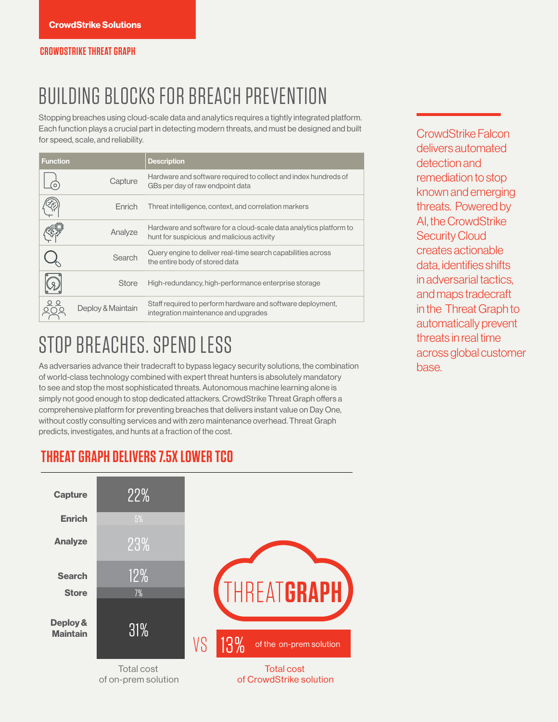## BUILDING BLOCKS FOR BREACH PREVENTION

Stopping breaches using cloud-scale data and analytics requires a tightly integrated platform. Each function plays a crucial part in detecting modern threats, and must be designed and built **CrowdStrike Falcon**<br>for speed, scale, and reliability.

| <b>Function</b> |                   | <b>Description</b>                                                                                               |  |
|-----------------|-------------------|------------------------------------------------------------------------------------------------------------------|--|
|                 | Capture           | Hardware and software required to collect and index hundreds of<br>GBs per day of raw endpoint data              |  |
|                 | Enrich            | Threat intelligence, context, and correlation markers                                                            |  |
|                 | Analyze           | Hardware and software for a cloud-scale data analytics platform to<br>hunt for suspicious and malicious activity |  |
|                 | Search            | Query engine to deliver real-time search capabilities across<br>the entire body of stored data                   |  |
|                 | Store             | High-redundancy, high-performance enterprise storage                                                             |  |
|                 | Deploy & Maintain | Staff required to perform hardware and software deployment,<br>integration maintenance and upgrades              |  |

## STOP BREACHES, SPEND LESS

As adversaries advance their tradecraft to bypass legacy security solutions, the combination of world-class technology combined with expert threat hunters is absolutely mandatory to see and stop the most sophisticated threats. Autonomous machine learning alone is simply not good enough to stop dedicated attackers. CrowdStrike Threat Graph offers a comprehensive platform for preventing breaches that delivers instant value on Day One, without costly consulting services and with zero maintenance overhead. Threat Graph predicts, investigates, and hunts at a fraction of the cost.

delivers automated detection and remediation to stop known and emerging threats. Powered by AI, the CrowdStrike Security Cloud creates actionable data, identifies shifts in adversarial tactics, and maps tradecraft in the Threat Graph to automatically prevent threats in real time across global customer base.

### **THREAT GRAPH DELIVERS 7.5X LOWER TCO**